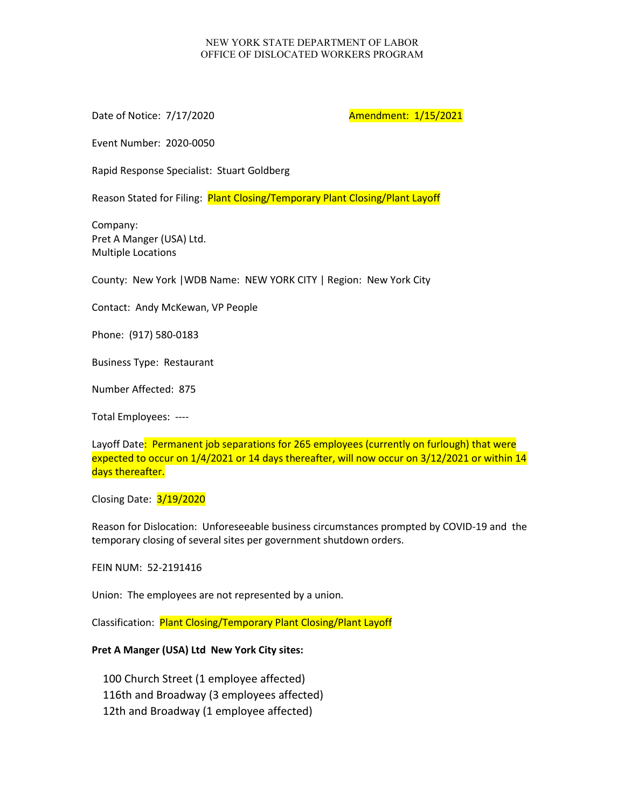## NEW YORK STATE DEPARTMENT OF LABOR OFFICE OF DISLOCATED WORKERS PROGRAM

Date of Notice: 7/17/2020 **Amendment: 1/15/2021** 

Event Number: 2020-0050

Rapid Response Specialist: Stuart Goldberg

Reason Stated for Filing: Plant Closing/Temporary Plant Closing/Plant Layoff

Company: Pret A Manger (USA) Ltd. Multiple Locations

County: New York |WDB Name: NEW YORK CITY | Region: New York City

Contact: Andy McKewan, VP People

Phone: (917) 580-0183

Business Type: Restaurant

Number Affected: 875

Total Employees: ----

Layoff Date: Permanent job separations for 265 employees (currently on furlough) that were expected to occur on 1/4/2021 or 14 days thereafter, will now occur on 3/12/2021 or within 14 days thereafter.

Closing Date: 3/19/2020

Reason for Dislocation: Unforeseeable business circumstances prompted by COVID-19 and the temporary closing of several sites per government shutdown orders.

FEIN NUM: 52-2191416

Union: The employees are not represented by a union.

Classification: Plant Closing/Temporary Plant Closing/Plant Layoff

## **Pret A Manger (USA) Ltd New York City sites:**

100 Church Street (1 employee affected) 116th and Broadway (3 employees affected) 12th and Broadway (1 employee affected)